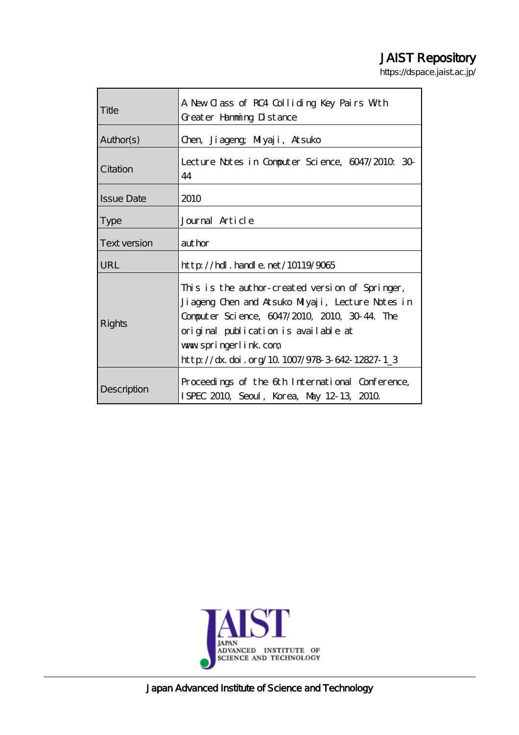# JAIST Repository

https://dspace.jaist.ac.jp/

| Title             | A New Class of RC4 Colliding Key Pairs Wth       |  |  |  |  |  |  |  |  |  |
|-------------------|--------------------------------------------------|--|--|--|--|--|--|--|--|--|
|                   | Greater Harming Distance                         |  |  |  |  |  |  |  |  |  |
| Author(s)         | Chen, Jiageng; Miyaji, Atsuko                    |  |  |  |  |  |  |  |  |  |
| Citation          | Lecture Notes in Computer Science, 6047/2010 30  |  |  |  |  |  |  |  |  |  |
|                   | 44                                               |  |  |  |  |  |  |  |  |  |
| <b>Issue Date</b> | 2010                                             |  |  |  |  |  |  |  |  |  |
| <b>Type</b>       | Journal Article                                  |  |  |  |  |  |  |  |  |  |
| Text version      | author                                           |  |  |  |  |  |  |  |  |  |
| <b>URL</b>        | $http$ // $hdl$ . handle. net/10119/9065         |  |  |  |  |  |  |  |  |  |
|                   | This is the author-created version of Springer,  |  |  |  |  |  |  |  |  |  |
|                   | Jiageng Chen and Atsuko Miyaji, Lecture Notes in |  |  |  |  |  |  |  |  |  |
|                   | Computer Science, 6047/2010, 2010, 30-44. The    |  |  |  |  |  |  |  |  |  |
| Rights            | original publication is available at             |  |  |  |  |  |  |  |  |  |
|                   | www.springerlink.com.                            |  |  |  |  |  |  |  |  |  |
|                   | http://dx.doi.org/10.1007/978-3-642-12827-1_3    |  |  |  |  |  |  |  |  |  |
|                   | Proceedings of the 6th International Conference, |  |  |  |  |  |  |  |  |  |
| Description       | ISPEC 2010, Seoul, Korea, May 12-13, 2010.       |  |  |  |  |  |  |  |  |  |



Japan Advanced Institute of Science and Technology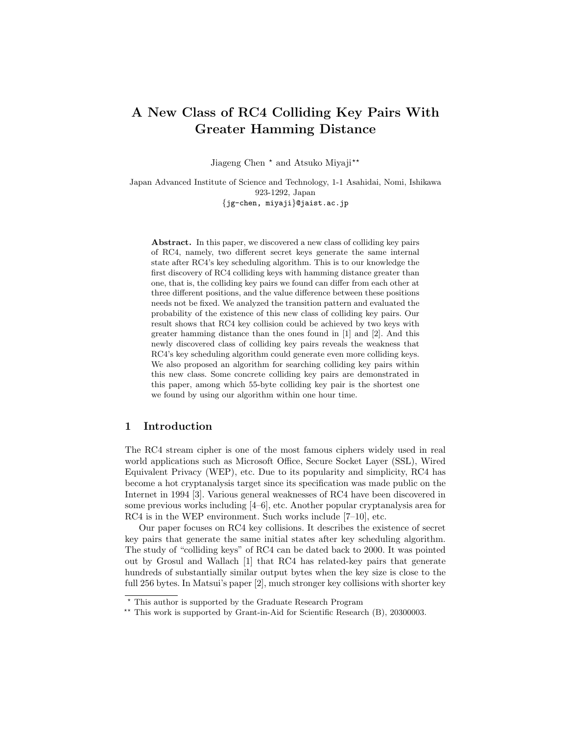## A New Class of RC4 Colliding Key Pairs With Greater Hamming Distance

Jiageng Chen \* and Atsuko Miyaji\*\*

Japan Advanced Institute of Science and Technology, 1-1 Asahidai, Nomi, Ishikawa 923-1292, Japan {jg-chen, miyaji}@jaist.ac.jp

Abstract. In this paper, we discovered a new class of colliding key pairs of RC4, namely, two different secret keys generate the same internal state after RC4's key scheduling algorithm. This is to our knowledge the first discovery of RC4 colliding keys with hamming distance greater than one, that is, the colliding key pairs we found can differ from each other at three different positions, and the value difference between these positions needs not be fixed. We analyzed the transition pattern and evaluated the probability of the existence of this new class of colliding key pairs. Our result shows that RC4 key collision could be achieved by two keys with greater hamming distance than the ones found in [1] and [2]. And this newly discovered class of colliding key pairs reveals the weakness that RC4's key scheduling algorithm could generate even more colliding keys. We also proposed an algorithm for searching colliding key pairs within this new class. Some concrete colliding key pairs are demonstrated in this paper, among which 55-byte colliding key pair is the shortest one we found by using our algorithm within one hour time.

## 1 Introduction

The RC4 stream cipher is one of the most famous ciphers widely used in real world applications such as Microsoft Office, Secure Socket Layer (SSL), Wired Equivalent Privacy (WEP), etc. Due to its popularity and simplicity, RC4 has become a hot cryptanalysis target since its specification was made public on the Internet in 1994 [3]. Various general weaknesses of RC4 have been discovered in some previous works including [4–6], etc. Another popular cryptanalysis area for RC4 is in the WEP environment. Such works include [7–10], etc.

Our paper focuses on RC4 key collisions. It describes the existence of secret key pairs that generate the same initial states after key scheduling algorithm. The study of "colliding keys" of RC4 can be dated back to 2000. It was pointed out by Grosul and Wallach [1] that RC4 has related-key pairs that generate hundreds of substantially similar output bytes when the key size is close to the full 256 bytes. In Matsui's paper [2], much stronger key collisions with shorter key

<sup>?</sup> This author is supported by the Graduate Research Program

<sup>\*\*</sup> This work is supported by Grant-in-Aid for Scientific Research (B), 20300003.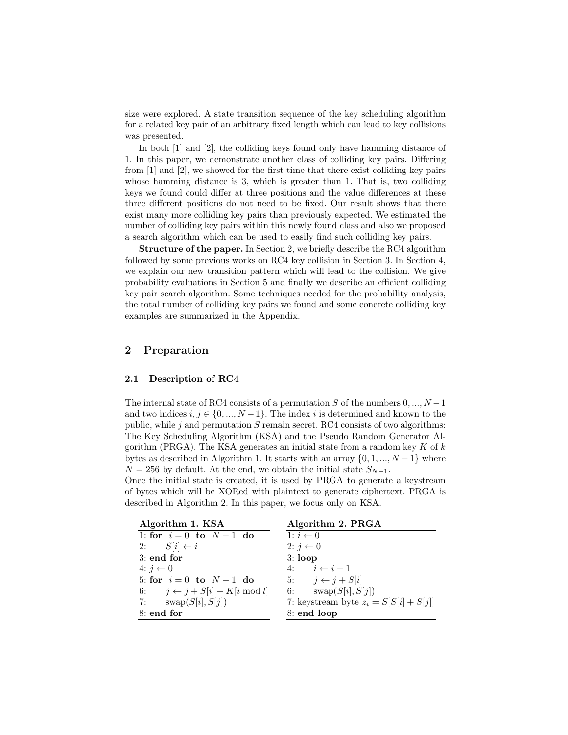size were explored. A state transition sequence of the key scheduling algorithm for a related key pair of an arbitrary fixed length which can lead to key collisions was presented.

In both [1] and [2], the colliding keys found only have hamming distance of 1. In this paper, we demonstrate another class of colliding key pairs. Differing from [1] and [2], we showed for the first time that there exist colliding key pairs whose hamming distance is 3, which is greater than 1. That is, two colliding keys we found could differ at three positions and the value differences at these three different positions do not need to be fixed. Our result shows that there exist many more colliding key pairs than previously expected. We estimated the number of colliding key pairs within this newly found class and also we proposed a search algorithm which can be used to easily find such colliding key pairs.

Structure of the paper. In Section 2, we briefly describe the RC4 algorithm followed by some previous works on RC4 key collision in Section 3. In Section 4, we explain our new transition pattern which will lead to the collision. We give probability evaluations in Section 5 and finally we describe an efficient colliding key pair search algorithm. Some techniques needed for the probability analysis, the total number of colliding key pairs we found and some concrete colliding key examples are summarized in the Appendix.

## 2 Preparation

## 2.1 Description of RC4

The internal state of RC4 consists of a permutation S of the numbers  $0, ..., N - 1$ and two indices  $i, j \in \{0, ..., N-1\}$ . The index i is determined and known to the public, while  $j$  and permutation  $S$  remain secret. RC4 consists of two algorithms: The Key Scheduling Algorithm (KSA) and the Pseudo Random Generator Algorithm (PRGA). The KSA generates an initial state from a random key  $K$  of  $k$ bytes as described in Algorithm 1. It starts with an array  $\{0, 1, ..., N-1\}$  where  $N = 256$  by default. At the end, we obtain the initial state  $S_{N-1}$ .

Once the initial state is created, it is used by PRGA to generate a keystream of bytes which will be XORed with plaintext to generate ciphertext. PRGA is described in Algorithm 2. In this paper, we focus only on KSA.

| Algorithm 1. KSA                         | Algorithm 2. PRGA                        |
|------------------------------------------|------------------------------------------|
| 1: for $i=0$ to $N-1$ do                 | 1: $i \leftarrow 0$                      |
| 2: $S[i] \leftarrow i$                   | 2: $j \leftarrow 0$                      |
| $3:$ end for                             | $3:$ loop                                |
| 4: $j \leftarrow 0$                      | 4: $i \leftarrow i+1$                    |
| 5: for $i = 0$ to $N - 1$ do             | 5: $j \leftarrow j + S[i]$               |
| 6: $j \leftarrow j + S[i] + K[i \mod l]$ | 6: $swap(S[i], S[j])$                    |
| 7: $swap(S[i], S[j])$                    | 7: keystream byte $z_i = S[S[i] + S[j]]$ |
| 8: end for                               | 8: end loop                              |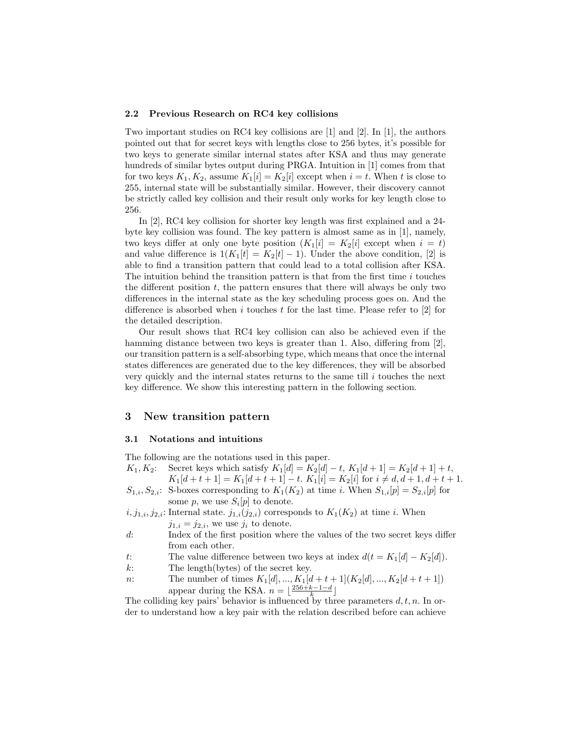#### 2.2 Previous Research on RC4 key collisions

Two important studies on RC4 key collisions are [1] and [2]. In [1], the authors pointed out that for secret keys with lengths close to 256 bytes, it's possible for two keys to generate similar internal states after KSA and thus may generate hundreds of similar bytes output during PRGA. Intuition in [1] comes from that for two keys  $K_1, K_2$ , assume  $K_1[i] = K_2[i]$  except when  $i = t$ . When t is close to 255, internal state will be substantially similar. However, their discovery cannot be strictly called key collision and their result only works for key length close to 256.

In [2], RC4 key collision for shorter key length was first explained and a 24 byte key collision was found. The key pattern is almost same as in [1], namely, two keys differ at only one byte position  $(K_1[i] = K_2[i]$  except when  $i = t$ ) and value difference is  $1(K_1[t] = K_2[t] - 1)$ . Under the above condition, [2] is able to find a transition pattern that could lead to a total collision after KSA. The intuition behind the transition pattern is that from the first time  $i$  touches the different position  $t$ , the pattern ensures that there will always be only two differences in the internal state as the key scheduling process goes on. And the difference is absorbed when i touches t for the last time. Please refer to  $[2]$  for the detailed description.

Our result shows that RC4 key collision can also be achieved even if the hamming distance between two keys is greater than 1. Also, differing from [2], our transition pattern is a self-absorbing type, which means that once the internal states differences are generated due to the key differences, they will be absorbed very quickly and the internal states returns to the same till  $i$  touches the next key difference. We show this interesting pattern in the following section.

## 3 New transition pattern

#### 3.1 Notations and intuitions

The following are the notations used in this paper.

- $K_1, K_2$ : Secret keys which satisfy  $K_1[d] = K_2[d] t$ ,  $K_1[d+1] = K_2[d+1] + t$ ,  $K_1[d+t+1] = K_1[d+t+1] - t$ .  $K_1[i] = K_2[i]$  for  $i \neq d, d+1, d+t+1$ .
- $S_{1,i}, S_{2,i}$ : S-boxes corresponding to  $K_1(K_2)$  at time i. When  $S_{1,i}[p] = S_{2,i}[p]$  for some  $p$ , we use  $S_i[p]$  to denote.
- $i, j_{1,i}, j_{2,i}$ : Internal state.  $j_{1,i}(j_{2,i})$  corresponds to  $K_1(K_2)$  at time i. When  $j_{1,i} = j_{2,i}$ , we use  $j_i$  to denote.
- d: Index of the first position where the values of the two secret keys differ from each other.
- t: The value difference between two keys at index  $d(t = K_1[d] K_2[d])$ .
- $k$ : The length(bytes) of the secret key.
- n: The number of times  $K_1[d], ..., K_1[d+t+1](K_2[d], ..., K_2[d+t+1])$ appear during the KSA.  $n = \lfloor \frac{256+k-1-d}{k} \rfloor$

The colliding key pairs' behavior is influenced by three parameters  $d, t, n$ . In order to understand how a key pair with the relation described before can achieve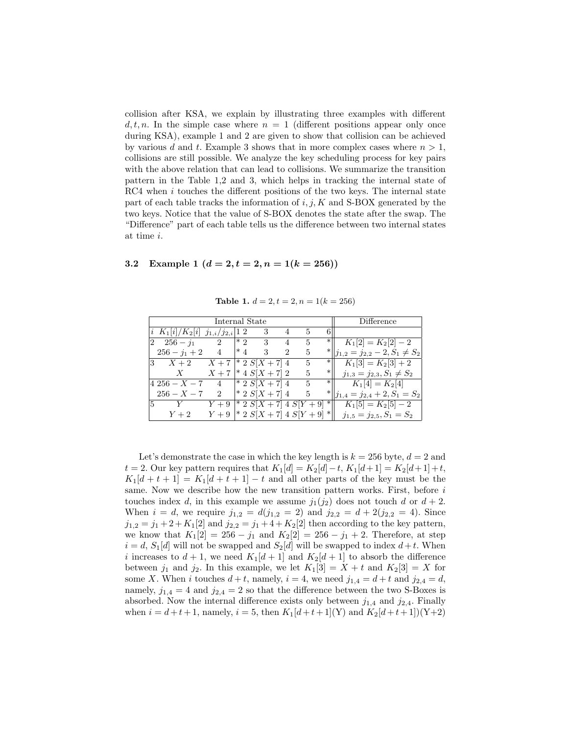collision after KSA, we explain by illustrating three examples with different  $d, t, n$ . In the simple case where  $n = 1$  (different positions appear only once during KSA), example 1 and 2 are given to show that collision can be achieved by various d and t. Example 3 shows that in more complex cases where  $n > 1$ , collisions are still possible. We analyze the key scheduling process for key pairs with the above relation that can lead to collisions. We summarize the transition pattern in the Table 1,2 and 3, which helps in tracking the internal state of RC4 when i touches the different positions of the two keys. The internal state part of each table tracks the information of  $i, j, K$  and S-BOX generated by the two keys. Notice that the value of S-BOX denotes the state after the swap. The "Difference" part of each table tells us the difference between two internal states at time i.

### 3.2 Example 1  $(d = 2, t = 2, n = 1 (k = 256))$

|                                               | Internal State | Difference |                                                                                                   |                |                                       |                |                                           |
|-----------------------------------------------|----------------|------------|---------------------------------------------------------------------------------------------------|----------------|---------------------------------------|----------------|-------------------------------------------|
| <i>i</i> $K_1[i]/K_2[i]$ $j_{1,i}/j_{2,i} 12$ |                |            | 3                                                                                                 | 4              | 5                                     | 6 <sup>1</sup> |                                           |
| 2 $256 - j_1$                                 | 2              | $*_{2}$    | 3                                                                                                 | $\overline{4}$ | 5                                     |                | $K_1[2] = K_2[2] - 2$                     |
| $256 - j_1 + 2$                               | -4             | $*_{4}$    | 3                                                                                                 | 2              | 5                                     |                | * $  j_{1,2} = j_{2,2} - 2, S_1 \neq S_2$ |
| $3 \quad X+2$                                 |                |            | $X + 7$  * 2 $S[X + 7]$ 4                                                                         |                | 5                                     | ∗∥             | $K_1[3] = K_2[3] + 2$                     |
| X                                             | $X+7$          |            | $* 4 S[X+7] 2$                                                                                    |                | 5                                     | $*$            | $j_{1,3} = j_{2,3}, S_1 \neq S_2$         |
| $4\;256-X-7\;4$                               |                |            | $\frac{1}{2}$ $\frac{1}{2}$ $\frac{1}{2}$ $\frac{1}{2}$ $\frac{1}{2}$ $\frac{1}{2}$ $\frac{1}{2}$ |                | 5                                     | $*$            | $K_1[4] = K_2[4]$                         |
| $256 - X - 7$                                 | $\overline{2}$ |            | $* 2 S[X + 7] 4$                                                                                  |                | 5                                     |                | $  j_{1,4}=j_{2,4}+2, S_1=S_2$            |
| $5 -$<br>$Y$ <sup>-</sup>                     | $Y+9$          |            |                                                                                                   |                | $* 2 S[X + 7] 4 S[Y + 9] *$           |                | $K_1[5] = K_2[5] - 2$                     |
| $Y+2$                                         |                |            |                                                                                                   |                | $Y + 9$ * 2 $S[X + 7]$ 4 $S[Y + 9]$ * |                | $j_{1,5}=j_{2,5}, S_1=S_2$                |

Table 1.  $d = 2, t = 2, n = 1(k = 256)$ 

Let's demonstrate the case in which the key length is  $k = 256$  byte,  $d = 2$  and t = 2. Our key pattern requires that  $K_1[d] = K_2[d] - t$ ,  $K_1[d+1] = K_2[d+1] + t$ ,  $K_1[d + t + 1] = K_1[d + t + 1] - t$  and all other parts of the key must be the same. Now we describe how the new transition pattern works. First, before  $i$ touches index d, in this example we assume  $j_1(j_2)$  does not touch d or  $d+2$ . When  $i = d$ , we require  $j_{1,2} = d(j_{1,2} = 2)$  and  $j_{2,2} = d + 2(j_{2,2} = 4)$ . Since  $j_{1,2} = j_1 + 2 + K_1[2]$  and  $j_{2,2} = j_1 + 4 + K_2[2]$  then according to the key pattern, we know that  $K_1[2] = 256 - j_1$  and  $K_2[2] = 256 - j_1 + 2$ . Therefore, at step  $i = d$ ,  $S_1[d]$  will not be swapped and  $S_2[d]$  will be swapped to index  $d + t$ . When i increases to  $d+1$ , we need  $K_1[d+1]$  and  $K_2[d+1]$  to absorb the difference between  $j_1$  and  $j_2$ . In this example, we let  $K_1[3] = X + t$  and  $K_2[3] = X$  for some X. When i touches  $d + t$ , namely,  $i = 4$ , we need  $j_{1,4} = d + t$  and  $j_{2,4} = d$ , namely,  $j_{1,4} = 4$  and  $j_{2,4} = 2$  so that the difference between the two S-Boxes is absorbed. Now the internal difference exists only between  $j_{1,4}$  and  $j_{2,4}$ . Finally when  $i = d+t+1$ , namely,  $i = 5$ , then  $K_1[d+t+1](Y)$  and  $K_2[d+t+1](Y+2)$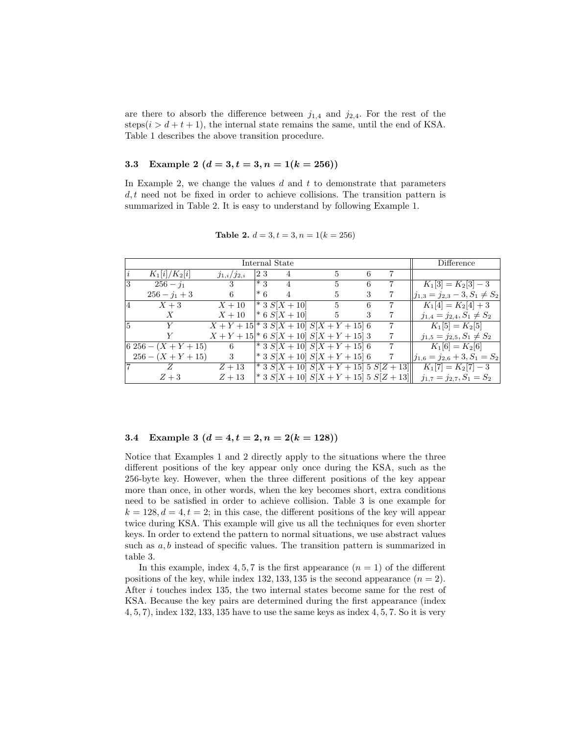are there to absorb the difference between  $j_{1,4}$  and  $j_{2,4}$ . For the rest of the steps( $i > d + t + 1$ ), the internal state remains the same, until the end of KSA. Table 1 describes the above transition procedure.

## 3.3 Example 2  $(d = 3, t = 3, n = 1(k = 256))$

In Example 2, we change the values  $d$  and  $t$  to demonstrate that parameters  $d, t$  need not be fixed in order to achieve collisions. The transition pattern is summarized in Table 2. It is easy to understand by following Example 1.

|    |                           |                                                           |       | Internal State  |                                            |   | Difference                         |
|----|---------------------------|-----------------------------------------------------------|-------|-----------------|--------------------------------------------|---|------------------------------------|
|    | $K_1[i]/K_2[i]$           | $j_{1,i}/j_{2,i}$                                         | 23    | 4               | $\frac{5}{2}$                              | 6 |                                    |
| 13 | $256 - i_1$               | 3                                                         | $ *3$ | $\overline{4}$  | $\mathbf{5}$                               | 6 | $K_1[3] = K_2[3] - 3$              |
|    | $256 - j_1 + 3$           | 6                                                         | $*6$  | 4               | 5                                          | 3 | $  j_{1,3}=j_{2,3}-3,S_1\neq S_2 $ |
| 14 | $X+3$                     | $X+10$                                                    |       | $*3 S[X + 10]$  | $5\quad$                                   | 6 | $K_1[4] = K_2[4] + 3$              |
|    |                           | $X+10$                                                    |       | $* 6 S[X + 10]$ | $5\phantom{.0}$                            | 3 | $j_{1,4} = j_{2,4}, S_1 \neq S_2$  |
| .5 | Y                         | $X + Y + 15$ <sup>*</sup> 3 $S[X + 10]$ $S[X + Y + 15]$ 6 |       |                 |                                            |   | $K_1[5] = K_2[5]$                  |
|    |                           | $X + Y + 15$ * 6 $S[X + 10]$ $S[X + Y + 15]$ 3            |       |                 |                                            |   | $j_{1,5} = j_{2,5}, S_1 \neq S_2$  |
|    | $ 6\;256 - (X + Y + 15) $ | $6-$                                                      |       |                 | $* 3 S[X + 10] S[X + Y + 15] 6$            |   | $K_1[6] = K_2[6]$                  |
|    | $256 - (X + Y + 15)$      | - 3                                                       |       |                 | $* 3 S[X + 10] S[X + Y + 15] 6$            |   | $  j_{1,6}=j_{2,6}+3, S_1=S_2  $   |
|    | Z                         | $Z+13$                                                    |       |                 | $* 3 S[X + 10] S[X + Y + 15] 5 S[Z + 13]]$ |   | $K_1[7] = K_2[7] - 3$              |
|    | $Z+3$                     | $Z+13$                                                    |       |                 | $* 3 S[X + 10] S[X + Y + 15] 5 S[Z + 13]$  |   | $j_{1,7} = j_{2,7}, S_1 = S_2$     |

Table 2.  $d = 3, t = 3, n = 1(k = 256)$ 

## 3.4 Example 3  $(d = 4, t = 2, n = 2(k = 128))$

Notice that Examples 1 and 2 directly apply to the situations where the three different positions of the key appear only once during the KSA, such as the 256-byte key. However, when the three different positions of the key appear more than once, in other words, when the key becomes short, extra conditions need to be satisfied in order to achieve collision. Table 3 is one example for  $k = 128, d = 4, t = 2$ ; in this case, the different positions of the key will appear twice during KSA. This example will give us all the techniques for even shorter keys. In order to extend the pattern to normal situations, we use abstract values such as a, b instead of specific values. The transition pattern is summarized in table 3.

In this example, index 4, 5, 7 is the first appearance  $(n = 1)$  of the different positions of the key, while index 132, 133, 135 is the second appearance  $(n = 2)$ . After i touches index 135, the two internal states become same for the rest of KSA. Because the key pairs are determined during the first appearance (index 4, 5, 7), index 132, 133, 135 have to use the same keys as index 4, 5, 7. So it is very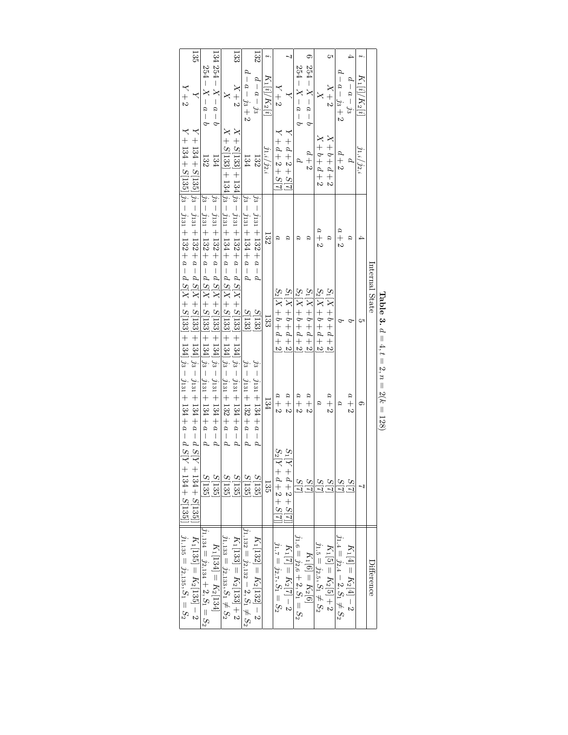|                                                                                                                                                                                           | 135                                                                                                       |                                                                          |                                                                         |                                                                                                        | 133                                                                                            |                                                                             | 132                                  | $\ddot{\phantom{0}}$ |                                                         |                                 |                                                                                                                                                                                                                                                 | $\circ$              |                      | Cπ                   |                             | ₽                     |                 |                |                                         |
|-------------------------------------------------------------------------------------------------------------------------------------------------------------------------------------------|-----------------------------------------------------------------------------------------------------------|--------------------------------------------------------------------------|-------------------------------------------------------------------------|--------------------------------------------------------------------------------------------------------|------------------------------------------------------------------------------------------------|-----------------------------------------------------------------------------|--------------------------------------|----------------------|---------------------------------------------------------|---------------------------------|-------------------------------------------------------------------------------------------------------------------------------------------------------------------------------------------------------------------------------------------------|----------------------|----------------------|----------------------|-----------------------------|-----------------------|-----------------|----------------|-----------------------------------------|
| $Y+2$                                                                                                                                                                                     |                                                                                                           | $254 - X - a - b$                                                        | $134\ 254 - X - a - b$                                                  | $\times$                                                                                               | $X+2$                                                                                          | $d - a - j_3 + 2$                                                           | $d-a-j_3$                            | $K_{1} i /K_{2} i $  | $Y+2$                                                   | $\prec$                         | $254 - X - a - b$                                                                                                                                                                                                                               | $254 - X - a - b$    | $\overline{\times}$  | $X+2$                | $\mathcal{L}$<br>$-a-j_3+2$ | $d-a-3$               | $K_1 i /K_2 i $ |                |                                         |
|                                                                                                                                                                                           |                                                                                                           | 132                                                                      | 134                                                                     |                                                                                                        |                                                                                                | 134                                                                         | 132                                  | 31, i/32, i          | $Y + d + 2 + S$ [7]                                     | $Y + d + 2 + S$                 | $\sigma$                                                                                                                                                                                                                                        | $d+2$                | $X + b + d + 2$      | $X + b + d + 2$      | $d+2$                       | $\mathbf{a}$          | 31. i / 32. i   |                |                                         |
|                                                                                                                                                                                           |                                                                                                           |                                                                          |                                                                         |                                                                                                        |                                                                                                | $j_3 - j_{131} + 134 + a$                                                   | $\mathbb{S}$<br>$ j_{131}+132+a$     | 132                  | ø                                                       |                                 |                                                                                                                                                                                                                                                 |                      | $a+2$                | ø                    | $a+2$                       | Ø                     |                 |                |                                         |
|                                                                                                                                                                                           |                                                                                                           |                                                                          |                                                                         |                                                                                                        |                                                                                                | $\frac{1}{p}$<br>S[133]                                                     | $\overline{p}$<br>S[133]             | 133                  | $S_2[X + b + d + 2]$                                    | $S_1[X + b + d + 2]$            | $S_2[X + b + d + 2]$                                                                                                                                                                                                                            | $S_1[X + b + d + 2]$ | $S_2[X + b + d + 2]$ | $S_1[X + b + d + 2]$ |                             |                       | Ċπ              | Internal State |                                         |
| $Y + 134 + 60 = 2$<br>$Y + 135$<br>$Y + 134 + 135$<br>$Y + 134 + 134$<br>$Y + 134 + 134 + 134$<br>$Y + 134 + 134 + 134 + 134$<br><br><br><br><br><br><br><br><br><br><br><br><br><br><br> | $Y + 134 + a [25][35]$<br>$y = 132 + 137 + 137 + 132 + a - b [25]$<br>$y = 134 + 134 + a - 134 + a - 134$ | $ j_3 - j_{131} + 132 + a - d S[X + S[133] + 134] j_3 - j_{131} + a - d$ | $[s - j_{131} + 132 + a - d S[X + S[133] + 134] j_3 - j_{131} + a - d]$ | $X + S[133] + 134$ $js - j_{133} - j_{133} + a - d$ $S[X + S[133] + 134]$ $js - j_{131} + 132 + a - d$ | $X + S[133] + 134[j_3 - j_{131} + 132 + a - d S[X + S[133] + 134] j_3 - j_{131} + 134 + a - d$ | $j_3 - j_{131} + 132 + a - d$                                               | $j_3$ $ j_{131}$ $+$ $134$ $+$ $\,a$ | 134                  | $a+2$                                                   | $a+2$                           | $a+2$                                                                                                                                                                                                                                           | $a+2$                | ø                    | $a+2$                | Ø                           | $a+2$                 | Ò.              |                | Table 3. $d = 4, t = 2, n = 2(k = 128)$ |
| $+ 134 + 5[135]$                                                                                                                                                                          | $+ 134 + S[135]$                                                                                          | S[135]                                                                   | S[135]                                                                  | S[135]                                                                                                 | S[135]                                                                                         | S[135]                                                                      | $p -$<br>S[135]                      | 135                  | $S_2[Y]$<br>$+ d + 2 + 5$                               | $S_1[Y]$<br>$- + 4 + 2 + 5$ [7] | $\frac{2}{3}$ $\frac{2}{5}$                                                                                                                                                                                                                     |                      | $\frac{5}{2}$        |                      |                             |                       |                 |                |                                         |
|                                                                                                                                                                                           |                                                                                                           |                                                                          |                                                                         |                                                                                                        |                                                                                                |                                                                             |                                      |                      |                                                         |                                 |                                                                                                                                                                                                                                                 |                      |                      |                      |                             |                       |                 |                |                                         |
| $\boxed{j_1,135=j_2,135, S_1=S_2}$                                                                                                                                                        | $K_1[135] = K_2[135] - 2$                                                                                 | $K_1[134] = K_2[134]$<br>$\boxed{j_{1,134} = j_{2,134} + 2, S_1 = S_2}$  |                                                                         | $j_{1,133} = j_{2,133}, S_1 \neq S_2$                                                                  |                                                                                                | $\frac{[j_{1,132} = j_{2,132} - 2, S_1 \neq S_2]}{K_1[133] = K_2[133] + 2}$ | $K_1[132]=K_2[132]-2$                |                      | $K_1[7] = K_2[7] - 2$<br>$j_{1,7} = j_{2,7}, S_1 = S_2$ |                                 | $\begin{array}{l} j_{1,4}=j_{2,4}-2, S_1\neq S_2\\ \vspace{-0.2cm} K_1[5]=K_2[5]+\sqrt{2}\\ j_{1,5}=j_{2,5}, S_1\neq S_2\\ \vspace{-0.2cm} K_1[6]=K_2[6]\\ \vspace{-0.2cm} j_{1,6}=j_{2,6}+2, S_1=S_2\\ j_{1,6}=j_{2,6}+2, S_1=S_2 \end{array}$ |                      |                      |                      |                             | $K_1[4] = K_2[4] - 2$ |                 | Difference     |                                         |

| 1<br>alda                 |
|---------------------------|
|                           |
|                           |
|                           |
| ట                         |
| $\boldsymbol{\mathsf{a}}$ |
| Ш                         |
| Ą                         |
| $\overline{ }$            |
| Ш                         |
| S                         |
| z                         |
| Ш                         |
| V                         |
| $\mathcal{F}_i$           |
| Ш                         |
| H                         |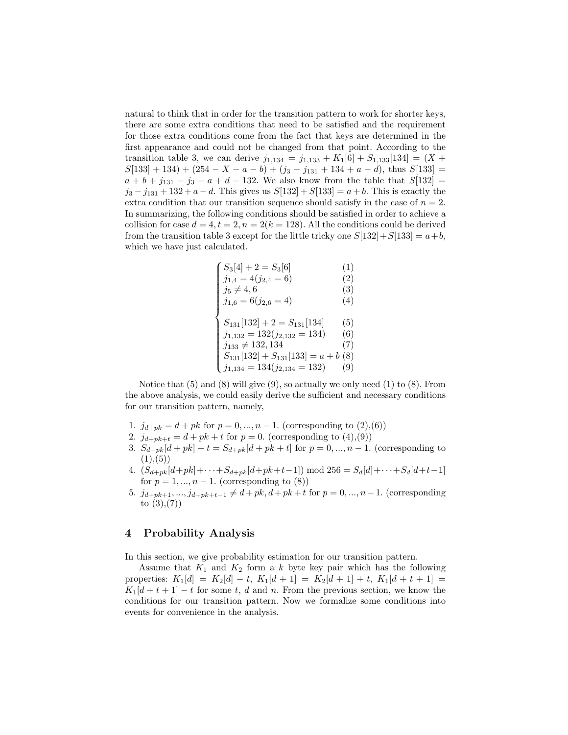natural to think that in order for the transition pattern to work for shorter keys, there are some extra conditions that need to be satisfied and the requirement for those extra conditions come from the fact that keys are determined in the first appearance and could not be changed from that point. According to the transition table 3, we can derive  $j_{1,134} = j_{1,133} + K_1[6] + S_{1,133}[134] = (X +$  $S[133] + 134 + (254 - X - a - b) + (j_3 - j_{131} + 134 + a - d)$ , thus  $S[133] =$  $a + b + j_{131} - j_3 - a + d - 132$ . We also know from the table that  $S[132] =$  $j_3 - j_{131} + 132 + a - d$ . This gives us  $S[132] + S[133] = a + b$ . This is exactly the extra condition that our transition sequence should satisfy in the case of  $n = 2$ . In summarizing, the following conditions should be satisfied in order to achieve a collision for case  $d = 4, t = 2, n = 2(k = 128)$ . All the conditions could be derived from the transition table 3 except for the little tricky one  $S[132]+S[133]=a+b$ , which we have just calculated.

$$
\begin{cases}\nS_3[4] + 2 = S_3[6] & (1) \\
j_{1,4} = 4(j_{2,4} = 6) & (2) \\
j_5 \neq 4, 6 & (3) \\
j_{1,6} = 6(j_{2,6} = 4) & (4) \\
S_{131}[132] + 2 = S_{131}[134] & (5) \\
j_{1,132} = 132(j_{2,132} = 134) & (6) \\
j_{133} \neq 132, 134 & (7) \\
S_{131}[132] + S_{131}[133] = a + b(8) \\
j_{1,134} = 134(j_{2,134} = 132) & (9)\n\end{cases}
$$

Notice that  $(5)$  and  $(8)$  will give  $(9)$ , so actually we only need  $(1)$  to  $(8)$ . From the above analysis, we could easily derive the sufficient and necessary conditions for our transition pattern, namely,

- 1.  $j_{d+pk} = d + pk$  for  $p = 0, ..., n 1$ . (corresponding to  $(2),(6)$ )
- 2.  $j_{d+pk+t} = d + pk + t$  for  $p = 0$ . (corresponding to  $(4)$ ,  $(9)$ )
- 3.  $S_{d+pk}[d+pk] + t = S_{d+pk}[d+pk+t]$  for  $p = 0, ..., n-1$ . (corresponding to  $(1), (5))$
- 4.  $(S_{d+pk}[d+pk]+ \cdots + S_{d+pk}[d+pk+t-1]) \text{ mod } 256 = S_d[d]+ \cdots + S_d[d+t-1]$ for  $p = 1, ..., n - 1$ . (corresponding to  $(8)$ )
- 5.  $j_{d+pk+1}, ..., j_{d+pk+t-1} \neq d+pk, d+pk+t$  for  $p = 0, ..., n-1$ . (corresponding to  $(3), (7)$

## 4 Probability Analysis

In this section, we give probability estimation for our transition pattern.

Assume that  $K_1$  and  $K_2$  form a k byte key pair which has the following properties:  $K_1[d] = K_2[d] - t$ ,  $K_1[d+1] = K_2[d+1] + t$ ,  $K_1[d+t+1] =$  $K_1[d + t + 1] - t$  for some t, d and n. From the previous section, we know the conditions for our transition pattern. Now we formalize some conditions into events for convenience in the analysis.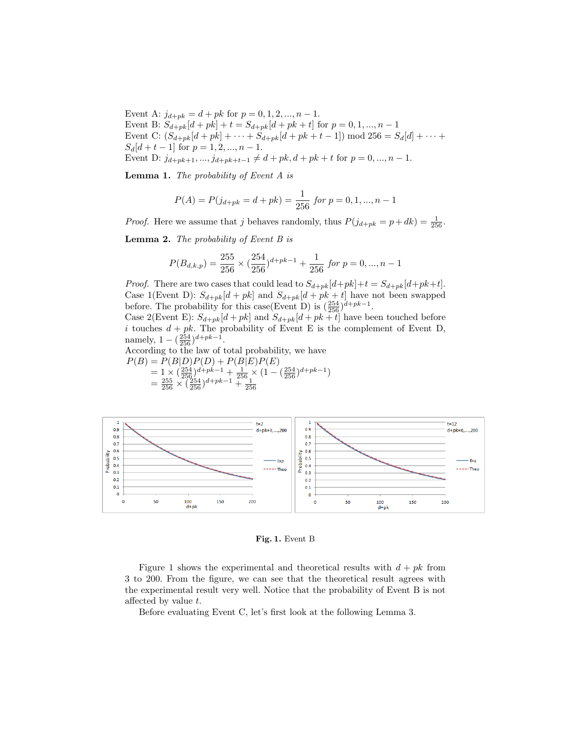Event A:  $j_{d+pk} = d + pk$  for  $p = 0, 1, 2, ..., n - 1$ . Event B:  $S_{d+pk}[d+pk] + t = S_{d+pk}[d+pk+t]$  for  $p = 0, 1, ..., n-1$ Event C:  $(S_{d+pk}[d+pk] + \cdots + S_{d+pk}[d+pk+t-1]) \text{ mod } 256 = S_d[d] + \cdots +$  $S_d[d+t-1]$  for  $p = 1, 2, ..., n-1$ . Event D:  $j_{d+pk+1},..., j_{d+pk+t-1} \neq d + pk, d + pk + t$  for  $p = 0,..., n - 1$ .

Lemma 1. The probability of Event A is

$$
P(A) = P(j_{d+pk} = d+pk) = \frac{1}{256} \text{ for } p = 0, 1, ..., n-1
$$

*Proof.* Here we assume that j behaves randomly, thus  $P(j_{d+pk} = p + dk) = \frac{1}{256}$ .

**Lemma 2.** The probability of Event  $B$  is

$$
P(B_{d,k,p}) = \frac{255}{256} \times \left(\frac{254}{256}\right)^{d+pk-1} + \frac{1}{256} \text{ for } p = 0, ..., n-1
$$

*Proof.* There are two cases that could lead to  $S_{d+pk}[d+pk]+t = S_{d+pk}[d+pk+t]$ . Case 1(Event D):  $S_{d+pk}[d+pk]$  and  $S_{d+pk}[d+pk+t]$  have not been swapped before. The probability for this case(Event D) is  $\left(\frac{254}{256}\right)^{d+pk-1}$ .

Case 2(Event E):  $S_{d+pk}[d+pk]$  and  $S_{d+pk}[d+pk+t]$  have been touched before i touches  $d + pk$ . The probability of Event E is the complement of Event D, namely,  $1 - (\frac{254}{256})^{d+pk-1}$ .

According to the law of total probability, we have  $P(B) = P(B|D)P(D) + P(B|E)P(E)$  $= 1 \times (\frac{254}{256})^{d+pk-1} + \frac{1}{256} \times (1 - (\frac{254}{256})^{d+pk-1})$  $=\frac{255}{256} \times \left(\frac{254}{256}\right)$ d+pk−1  $+\frac{256}{256}$ 



#### Fig. 1. Event B

Figure 1 shows the experimental and theoretical results with  $d + pk$  from 3 to 200. From the figure, we can see that the theoretical result agrees with the experimental result very well. Notice that the probability of Event B is not affected by value t.

Before evaluating Event C, let's first look at the following Lemma 3.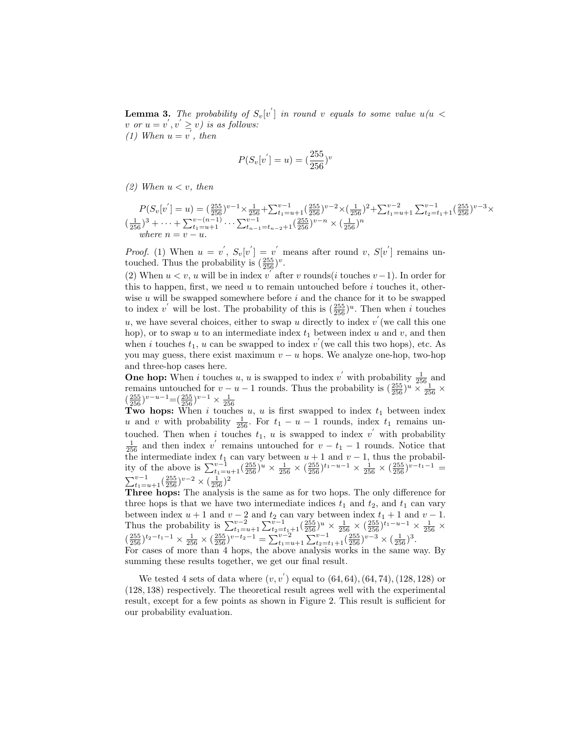**Lemma 3.** The probability of  $S_v[v']$  in round v equals to some value  $u/u <$ v or  $u = v', v' \ge v)$  is as follows: (1) When  $u = v'$ , then

$$
P(S_v[v'] = u) = (\frac{255}{256})^v
$$

(2) When  $u < v$ , then

$$
P(S_v[v'] = u) = \left(\frac{255}{256}\right)^{v-1} \times \frac{1}{256} + \sum_{t_1=u+1}^{v-1} \left(\frac{255}{256}\right)^{v-2} \times \left(\frac{1}{256}\right)^2 + \sum_{t_1=u+1}^{v-2} \sum_{t_2=t_1+1}^{v-1} \left(\frac{255}{256}\right)^{v-3} \times \left(\frac{1}{256}\right)^3 + \dots + \sum_{t_1=u+1}^{v-(n-1)} \dots \sum_{t_{n-1}=t_{n-2}+1}^{v-1} \left(\frac{255}{256}\right)^{v-n} \times \left(\frac{1}{256}\right)^n
$$
\nwhere  $n = v - u$ .

*Proof.* (1) When  $u = v'$ ,  $S_v[v'] = v'$  means after round v,  $S[v']$  remains untouched. Thus the probability is  $(\frac{255}{256})^v$ .

(2) When  $u < v$ , u will be in index v after v rounds(i touches v-1). In order for this to happen, first, we need  $u$  to remain untouched before  $i$  touches it, otherwise  $u$  will be swapped somewhere before  $i$  and the chance for it to be swapped to index v' will be lost. The probability of this is  $(\frac{255}{256})^u$ . Then when i touches u, we have several choices, either to swap u directly to index  $v^{'}$  (we call this one hop), or to swap u to an intermediate index  $t_1$  between index u and v, and then when i touches  $t_1$ , u can be swapped to index v' (we call this two hops), etc. As you may guess, there exist maximum  $v - u$  hops. We analyze one-hop, two-hop and three-hop cases here.

**One hop:** When i touches u, u is swapped to index v' with probability  $\frac{1}{256}$  and remains untouched for  $v - u - 1$  rounds. Thus the probability is  $\left(\frac{255}{256}\right)^u \times \frac{256}{256}$  ×  $\left(\frac{255}{256}\right)^{v-u-1} = \left(\frac{255}{256}\right)^{v-1} \times \frac{1}{256}$ <br>Two hops: When *i* touches *u*, *u* is first swapped to index *t*<sub>1</sub> between index

u and v with probability  $\frac{1}{256}$ . For  $t_1 - u - 1$  rounds, index  $t_1$  remains untouched. Then when i touches  $t_1$ , u is swapped to index v' with probability  $\frac{1}{256}$  and then index v' remains untouched for  $v - t_1 - 1$  rounds. Notice that the intermediate index  $t_1$  can vary between  $u + 1$  and  $v - 1$ , thus the probability of the above is  $\sum_{t_1=u+1}^{v-1}(\frac{255}{256})^u \times \frac{1}{256} \times (\frac{255}{256})^{t_1-u-1} \times \frac{1}{256} \times (\frac{255}{256})^{v-t_1-1}$  $\sum_{t_1=u+1}^{v-1}(\frac{255}{256})^{v-2} \times (\frac{1}{256})^2$ 

Three hops: The analysis is the same as for two hops. The only difference for three hops is that we have two intermediate indices  $t_1$  and  $t_2$ , and  $t_1$  can vary between index  $u + 1$  and  $v - 2$  and  $t_2$  can vary between index  $t_1 + 1$  and  $v - 1$ . Thus the probability is  $\sum_{t_1=u+1}^{v-2} \sum_{t_2=t_1+1}^{v-1} (\frac{255}{256})^u \times \frac{1}{256} \times (\frac{255}{256})^{t_1-u-1} \times \frac{1}{256}$  $\left(\frac{255}{256}\right)^{t_2-t_1-1} \times \frac{1}{256} \times \left(\frac{255}{256}\right)^{v-t_2-1} = \sum_{t_1=u+1}^{v-2} \sum_{t_2=t_1+1}^{v-1} \left(\frac{255}{256}\right)^{v-3} \times \left(\frac{1}{256}\right)^3$ 

For cases of more than 4 hops, the above analysis works in the same way. By summing these results together, we get our final result.

We tested 4 sets of data where  $(v, v')$  equal to  $(64, 64), (64, 74), (128, 128)$  or (128, 138) respectively. The theoretical result agrees well with the experimental result, except for a few points as shown in Figure 2. This result is sufficient for our probability evaluation.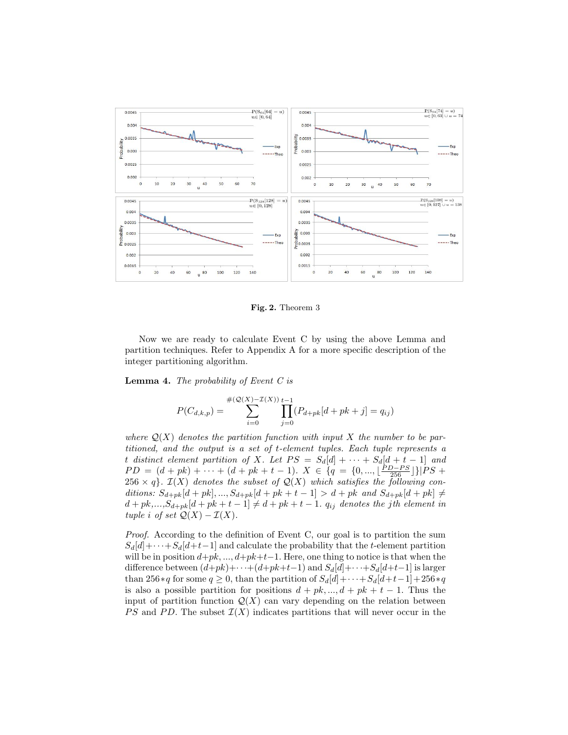

Fig. 2. Theorem 3

Now we are ready to calculate Event C by using the above Lemma and partition techniques. Refer to Appendix A for a more specific description of the integer partitioning algorithm.

**Lemma 4.** The probability of Event  $C$  is

$$
P(C_{d,k,p}) = \sum_{i=0}^{\#(\mathcal{Q}(X) - \mathcal{I}(X))} \prod_{j=0}^{t-1} (P_{d+pk}[d+pk+j] = q_{ij})
$$

where  $\mathcal{Q}(X)$  denotes the partition function with input X the number to be partitioned, and the output is a set of t-element tuples. Each tuple represents a t distinct element partition of X. Let  $PS = S_d[d] + \cdots + S_d[d + t - 1]$  and  $PD = (d+pk) + \cdots + (d+pk+t-1)$ .  $X \in \{q = \{0, ..., \lfloor \frac{PD-PS}{256} \rfloor\} | PS +$  $256 \times q$ .  $\mathcal{I}(X)$  denotes the subset of  $\mathcal{Q}(X)$  which satisfies the following conditions:  $S_{d+pk}[d+pk],..., S_{d+pk}[d+pk+t-1] > d+pk$  and  $S_{d+pk}[d+pk] \neq$  $d + pk, \ldots, S_{d+pk}[d+pk+t-1] \neq d+pk+t-1$ .  $q_{ij}$  denotes the jth element in tuple i of set  $Q(X) - \mathcal{I}(X)$ .

Proof. According to the definition of Event C, our goal is to partition the sum  $S_d[d]+\cdots+S_d[d+t-1]$  and calculate the probability that the t-element partition will be in position  $d+pk$ , ...,  $d+pk+t-1$ . Here, one thing to notice is that when the difference between  $(d+pk)+\cdots+(d+pk+t-1)$  and  $S_d[d]+\cdots+S_d[d+t-1]$  is larger than 256∗q for some  $q \geq 0$ , than the partition of  $S_d[d]+\cdots+S_d[d+t-1]+256*q$ is also a possible partition for positions  $d + pk, ..., d + pk + t - 1$ . Thus the input of partition function  $\mathcal{Q}(X)$  can vary depending on the relation between PS and PD. The subset  $\mathcal{I}(X)$  indicates partitions that will never occur in the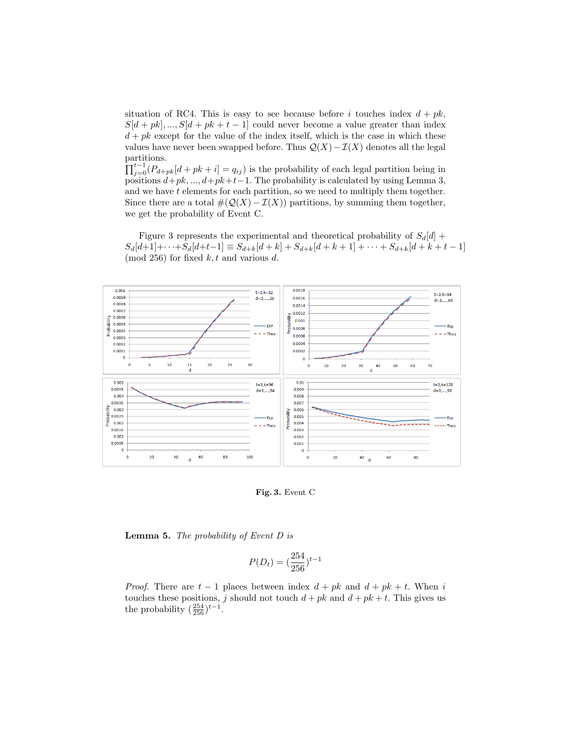situation of RC4. This is easy to see because before i touches index  $d + pk$ ,  $S[d + pk], ..., S[d + pk + t - 1]$  could never become a value greater than index  $d + pk$  except for the value of the index itself, which is the case in which these values have never been swapped before. Thus  $Q(X) - I(X)$  denotes all the legal partitions.

 $\prod_{j=0}^{t-1}(P_{d+pk}[d+pk+i]=q_{ij})$  is the probability of each legal partition being in positions  $d+pk, ..., d+pk+t-1$ . The probability is calculated by using Lemma 3, and we have  $t$  elements for each partition, so we need to multiply them together. Since there are a total  $\#(Q(X) - \mathcal{I}(X))$  partitions, by summing them together, we get the probability of Event C.

Figure 3 represents the experimental and theoretical probability of  $S_d[d]$  +  $S_d[d+1]+\cdots+S_d[d+t-1] \equiv S_{d+k}[d+k]+S_{d+k}[d+k+1]+\cdots+S_{d+k}[d+k+t-1]$ (mod 256) for fixed  $k, t$  and various d.



Fig. 3. Event C

**Lemma 5.** The probability of Event  $D$  is

$$
P(D_t) = \left(\frac{254}{256}\right)^{t-1}
$$

*Proof.* There are  $t - 1$  places between index  $d + pk$  and  $d + pk + t$ . When i touches these positions, j should not touch  $d + pk$  and  $d + pk + t$ . This gives us the probability  $\left(\frac{254}{256}\right)^{t-1}$ .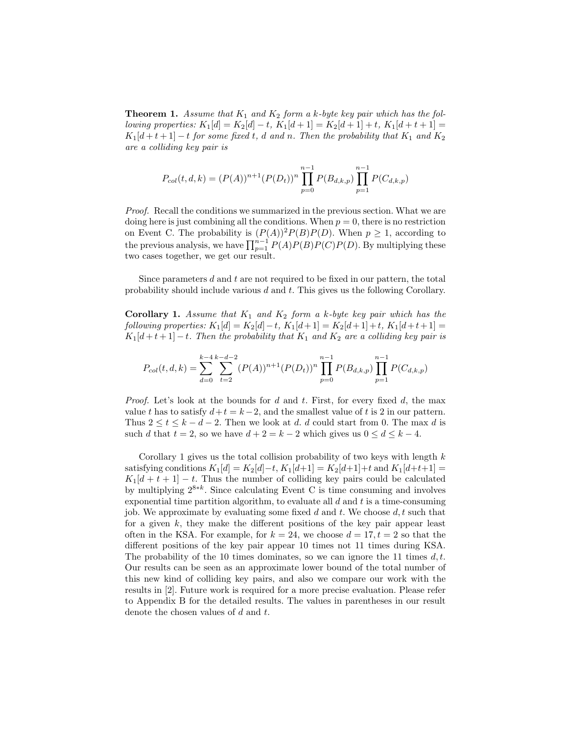**Theorem 1.** Assume that  $K_1$  and  $K_2$  form a k-byte key pair which has the fol*lowing properties:*  $K_1[d] = K_2[d] - t$ ,  $K_1[d+1] = K_2[d+1] + t$ ,  $K_1[d+t+1] =$  $K_1[d+t+1]-t$  for some fixed t, d and n. Then the probability that  $K_1$  and  $K_2$ are a colliding key pair is

$$
P_{col}(t, d, k) = (P(A))^{n+1} (P(D_t))^{n} \prod_{p=0}^{n-1} P(B_{d,k,p}) \prod_{p=1}^{n-1} P(C_{d,k,p})
$$

Proof. Recall the conditions we summarized in the previous section. What we are doing here is just combining all the conditions. When  $p = 0$ , there is no restriction on Event C. The probability is  $(P(A))^2 P(B) P(D)$ . When  $p \geq 1$ , according to the previous analysis, we have  $\prod_{p=1}^{n-1} P(A)P(B)P(C)P(D)$ . By multiplying these two cases together, we get our result.

Since parameters  $d$  and  $t$  are not required to be fixed in our pattern, the total probability should include various d and t. This gives us the following Corollary.

**Corollary 1.** Assume that  $K_1$  and  $K_2$  form a k-byte key pair which has the following properties:  $K_1[d] = K_2[d] - t$ ,  $K_1[d+1] = K_2[d+1] + t$ ,  $K_1[d+t+1] =$  $K_1[d+t+1]-t$ . Then the probability that  $K_1$  and  $K_2$  are a colliding key pair is

$$
P_{col}(t, d, k) = \sum_{d=0}^{k-4} \sum_{t=2}^{k-d-2} (P(A))^{n+1} (P(D_t))^{n} \prod_{p=0}^{n-1} P(B_{d,k,p}) \prod_{p=1}^{n-1} P(C_{d,k,p})
$$

*Proof.* Let's look at the bounds for d and t. First, for every fixed d, the max value t has to satisfy  $d+t = k-2$ , and the smallest value of t is 2 in our pattern. Thus  $2 \le t \le k - d - 2$ . Then we look at d. d could start from 0. The max d is such d that  $t = 2$ , so we have  $d + 2 = k - 2$  which gives us  $0 \le d \le k - 4$ .

Corollary 1 gives us the total collision probability of two keys with length  $k$ satisfying conditions  $K_1[d] = K_2[d] - t$ ,  $K_1[d+1] = K_2[d+1] + t$  and  $K_1[d+t+1] =$  $K_1[d + t + 1] - t$ . Thus the number of colliding key pairs could be calculated by multiplying 28∗<sup>k</sup> . Since calculating Event C is time consuming and involves exponential time partition algorithm, to evaluate all  $d$  and  $t$  is a time-consuming job. We approximate by evaluating some fixed d and t. We choose  $d, t$  such that for a given  $k$ , they make the different positions of the key pair appear least often in the KSA. For example, for  $k = 24$ , we choose  $d = 17, t = 2$  so that the different positions of the key pair appear 10 times not 11 times during KSA. The probability of the 10 times dominates, so we can ignore the 11 times  $d, t$ . Our results can be seen as an approximate lower bound of the total number of this new kind of colliding key pairs, and also we compare our work with the results in [2]. Future work is required for a more precise evaluation. Please refer to Appendix B for the detailed results. The values in parentheses in our result denote the chosen values of d and t.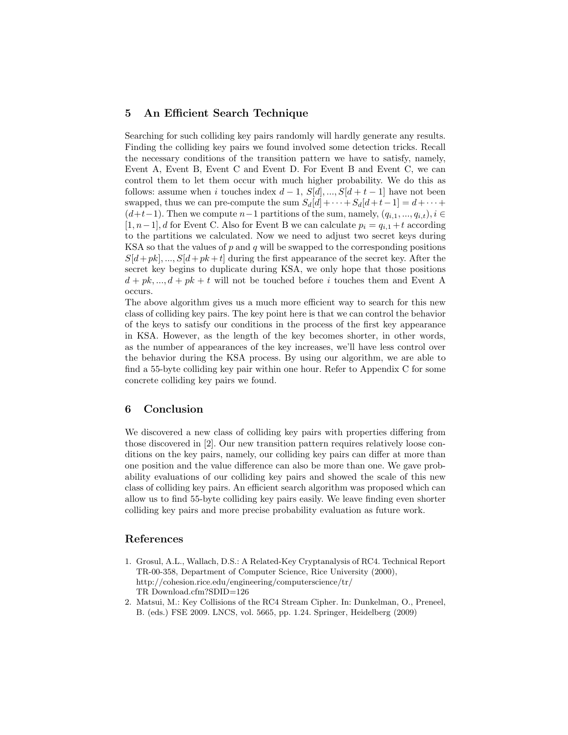## 5 An Efficient Search Technique

Searching for such colliding key pairs randomly will hardly generate any results. Finding the colliding key pairs we found involved some detection tricks. Recall the necessary conditions of the transition pattern we have to satisfy, namely, Event A, Event B, Event C and Event D. For Event B and Event C, we can control them to let them occur with much higher probability. We do this as follows: assume when i touches index  $d-1$ ,  $S[d]$ , ...,  $S[d+t-1]$  have not been swapped, thus we can pre-compute the sum  $S_d[d] + \cdots + S_d[d+t-1] = d + \cdots$  $(d+t-1)$ . Then we compute  $n-1$  partitions of the sum, namely,  $(q_{i,1}, ..., q_{i,t}), i \in$  $[1, n-1], d$  for Event C. Also for Event B we can calculate  $p_i = q_{i,1} + t$  according to the partitions we calculated. Now we need to adjust two secret keys during KSA so that the values of p and q will be swapped to the corresponding positions  $S[d+pk], ..., S[d+pk+t]$  during the first appearance of the secret key. After the secret key begins to duplicate during KSA, we only hope that those positions  $d + pk, ..., d + pk + t$  will not be touched before i touches them and Event A occurs.

The above algorithm gives us a much more efficient way to search for this new class of colliding key pairs. The key point here is that we can control the behavior of the keys to satisfy our conditions in the process of the first key appearance in KSA. However, as the length of the key becomes shorter, in other words, as the number of appearances of the key increases, we'll have less control over the behavior during the KSA process. By using our algorithm, we are able to find a 55-byte colliding key pair within one hour. Refer to Appendix C for some concrete colliding key pairs we found.

## 6 Conclusion

We discovered a new class of colliding key pairs with properties differing from those discovered in [2]. Our new transition pattern requires relatively loose conditions on the key pairs, namely, our colliding key pairs can differ at more than one position and the value difference can also be more than one. We gave probability evaluations of our colliding key pairs and showed the scale of this new class of colliding key pairs. An efficient search algorithm was proposed which can allow us to find 55-byte colliding key pairs easily. We leave finding even shorter colliding key pairs and more precise probability evaluation as future work.

## References

- 1. Grosul, A.L., Wallach, D.S.: A Related-Key Cryptanalysis of RC4. Technical Report TR-00-358, Department of Computer Science, Rice University (2000), http://cohesion.rice.edu/engineering/computerscience/tr/ TR Download.cfm?SDID=126
- 2. Matsui, M.: Key Collisions of the RC4 Stream Cipher. In: Dunkelman, O., Preneel, B. (eds.) FSE 2009. LNCS, vol. 5665, pp. 1.24. Springer, Heidelberg (2009)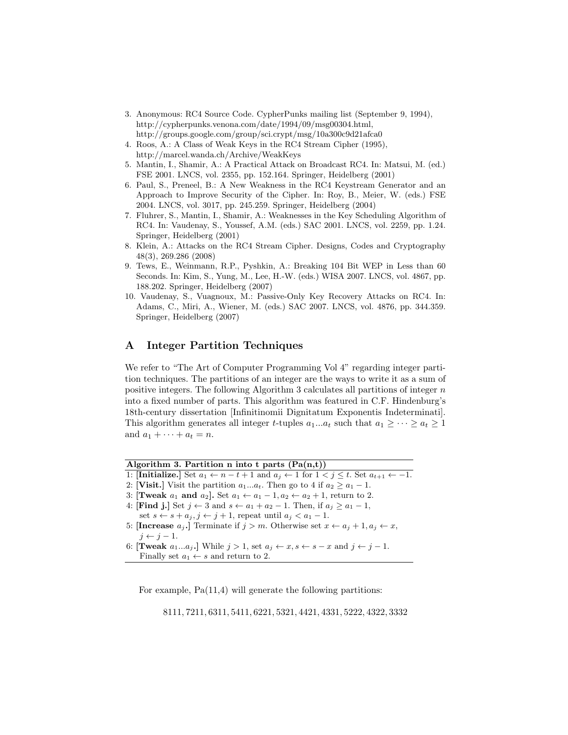- 3. Anonymous: RC4 Source Code. CypherPunks mailing list (September 9, 1994), http://cypherpunks.venona.com/date/1994/09/msg00304.html, http://groups.google.com/group/sci.crypt/msg/10a300c9d21afca0
- 4. Roos, A.: A Class of Weak Keys in the RC4 Stream Cipher (1995), http://marcel.wanda.ch/Archive/WeakKeys
- 5. Mantin, I., Shamir, A.: A Practical Attack on Broadcast RC4. In: Matsui, M. (ed.) FSE 2001. LNCS, vol. 2355, pp. 152.164. Springer, Heidelberg (2001)
- 6. Paul, S., Preneel, B.: A New Weakness in the RC4 Keystream Generator and an Approach to Improve Security of the Cipher. In: Roy, B., Meier, W. (eds.) FSE 2004. LNCS, vol. 3017, pp. 245.259. Springer, Heidelberg (2004)
- 7. Fluhrer, S., Mantin, I., Shamir, A.: Weaknesses in the Key Scheduling Algorithm of RC4. In: Vaudenay, S., Youssef, A.M. (eds.) SAC 2001. LNCS, vol. 2259, pp. 1.24. Springer, Heidelberg (2001)
- 8. Klein, A.: Attacks on the RC4 Stream Cipher. Designs, Codes and Cryptography 48(3), 269.286 (2008)
- 9. Tews, E., Weinmann, R.P., Pyshkin, A.: Breaking 104 Bit WEP in Less than 60 Seconds. In: Kim, S., Yung, M., Lee, H.-W. (eds.) WISA 2007. LNCS, vol. 4867, pp. 188.202. Springer, Heidelberg (2007)
- 10. Vaudenay, S., Vuagnoux, M.: Passive-Only Key Recovery Attacks on RC4. In: Adams, C., Miri, A., Wiener, M. (eds.) SAC 2007. LNCS, vol. 4876, pp. 344.359. Springer, Heidelberg (2007)

## A Integer Partition Techniques

We refer to "The Art of Computer Programming Vol 4" regarding integer partition techniques. The partitions of an integer are the ways to write it as a sum of positive integers. The following Algorithm 3 calculates all partitions of integer n into a fixed number of parts. This algorithm was featured in C.F. Hindenburg's 18th-century dissertation [Infinitinomii Dignitatum Exponentis Indeterminati]. This algorithm generates all integer t-tuples  $a_1...a_t$  such that  $a_1 \geq \cdots \geq a_t \geq 1$ and  $a_1 + \cdots + a_t = n$ .

| Algorithm 3. Partition n into t parts $(Pa(n,t))$                                                                            |
|------------------------------------------------------------------------------------------------------------------------------|
| 1: [Initialize.] Set $a_1 \leftarrow n - t + 1$ and $a_j \leftarrow 1$ for $1 \leq j \leq t$ . Set $a_{t+1} \leftarrow -1$ . |
| 2: [Visit.] Visit the partition $a_1a_t$ . Then go to 4 if $a_2 > a_1 - 1$ .                                                 |
| 3: <b>Tweak</b> $a_1$ and $a_2$ . Set $a_1 \leftarrow a_1 - 1, a_2 \leftarrow a_2 + 1$ , return to 2.                        |
| 4: [Find j.] Set $j \leftarrow 3$ and $s \leftarrow a_1 + a_2 - 1$ . Then, if $a_j \ge a_1 - 1$ ,                            |
| set $s \leftarrow s + a_j, j \leftarrow j + 1$ , repeat until $a_j < a_1 - 1$ .                                              |
| 5: [Increase $a_j$ .] Terminate if $j > m$ . Otherwise set $x \leftarrow a_j + 1, a_j \leftarrow x$ ,                        |
| $j \leftarrow j-1$ .                                                                                                         |
| 6: <b>Tweak</b> $a_1a_j$ . While $j > 1$ , set $a_j \leftarrow x, s \leftarrow s - x$ and $j \leftarrow j - 1$ .             |
| Finally set $a_1 \leftarrow s$ and return to 2.                                                                              |
|                                                                                                                              |

For example,  $Pa(11,4)$  will generate the following partitions:

8111, 7211, 6311, 5411, 6221, 5321, 4421, 4331, 5222, 4322, 3332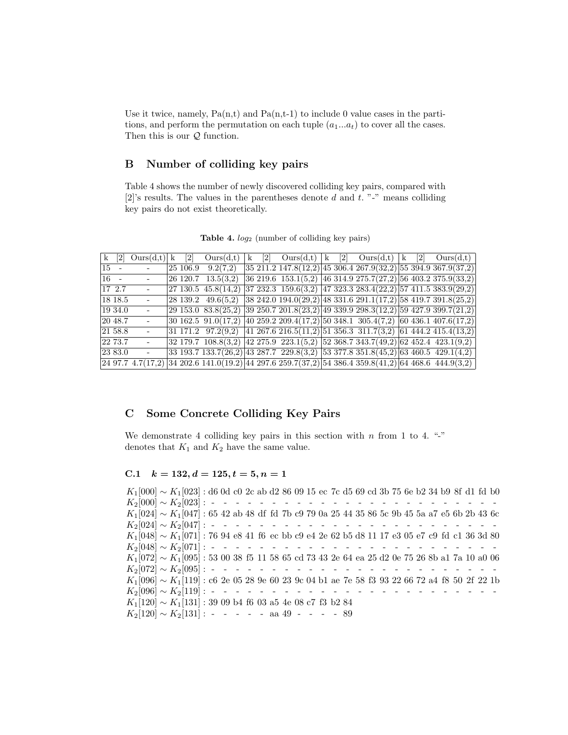Use it twice, namely,  $Pa(n,t)$  and  $Pa(n,t-1)$  to include 0 value cases in the partitions, and perform the permutation on each tuple  $(a_1...a_t)$  to cover all the cases. Then this is our Q function.

## B Number of colliding key pairs

Table 4 shows the number of newly discovered colliding key pairs, compared with [2]'s results. The values in the parentheses denote  $d$  and  $t$ . "-" means colliding key pairs do not exist theoretically.

| k       | 2             | $Ours(d,t)$   k | [2]      | Ours(d,t)                         | k | 2 | Ours(d,t)   k                                                                                                                                                                                                                                | $\lceil 2 \rceil$ | Ours(d,t)   k | $\lceil 2 \rceil$ | Ours(d,t) |
|---------|---------------|-----------------|----------|-----------------------------------|---|---|----------------------------------------------------------------------------------------------------------------------------------------------------------------------------------------------------------------------------------------------|-------------------|---------------|-------------------|-----------|
| $ 15 -$ |               |                 | 25 106.9 | 9.2(7,2)                          |   |   | $ 35\ 211.2\ 147.8(12,2) 45\ 306.4\ 267.9(32,2) 55\ 394.9\ 367.9(37,2) $                                                                                                                                                                     |                   |               |                   |           |
| $ 16 -$ |               |                 | 26 120.7 | 13.5(3,2)                         |   |   | $36\ 219.6\ 153.1(5,2)\ 46\ 314.9\ 275.7(27,2)\ 56\ 403.2\ 375.9(33,2)$                                                                                                                                                                      |                   |               |                   |           |
|         | 172.7         |                 |          | $27$ 130.5 45.8(14,2)             |   |   | $\overline{37\ 232.3\ 159.6(3,2)\ 47\ 323.3\ 283.4(22,2)\ 57\ 411.5\ 383.9(29,2)}$                                                                                                                                                           |                   |               |                   |           |
|         | $ 18 \; 18.5$ |                 |          | $\overline{28\ 139.2\ 49.6(5,2)}$ |   |   | $ 38\ 242.0\ 194.0(29,2) 48\ 331.6\ 291.1(17,2) 58\ 419.7\ 391.8(25,2) $                                                                                                                                                                     |                   |               |                   |           |
|         | $ 19\,34.0$   |                 |          | 29 153.0 83.8 (25.2)              |   |   | $ 39\;250.7\;201.8(23,2) 49\;339.9\;298.3(12,2) 59\;427.9\;399.7(21,2) $                                                                                                                                                                     |                   |               |                   |           |
|         | 20, 48.7      |                 |          |                                   |   |   | $30\,162.5\,91.0(17,2)\,40\,259.2\,209.4(17,2)\,50\,348.1\,305.4(7,2)\,60\,436.1\,407.6(17,2)$                                                                                                                                               |                   |               |                   |           |
|         | $ 21\,58.8$   |                 |          |                                   |   |   | $31\,171.2\,97.2(9.2)\,41\,267.6\,216.5(11.2)\,51\,356.3\,311.7(3.2)\,61\,444.2\,415.4(13.2)$                                                                                                                                                |                   |               |                   |           |
|         | 2273.7        |                 |          |                                   |   |   | $ 32\;179.7\;108.8(3,2)\; 42\;275.9\;223.1(5,2)\; 52\;368.7\;343.7(49,2) 62\;452.4\;423.1(9,2)\; 63\;179.7\; 108.8(3,2)\; 42\;275.9\; 223.1(5,2)\; 52\;368.7\;343.7(49,2) 62\;452.4\; 423.1(9,2)\; 32\;368.7\; 33.1(49,2)\; 43.1(49,2)\$     |                   |               |                   |           |
|         | 2383.0        |                 |          |                                   |   |   | $33\ 193.7\ 133.7(26,2)$ 43 287.7 229.8(3,2) 53 377.8 351.8(45,2) 63 460.5 429.1(4,2)                                                                                                                                                        |                   |               |                   |           |
|         |               |                 |          |                                   |   |   | $[24\ 97.7\ 4.7(17.2)\ 34\ 202.6\ 141.0(19.2)\ 44\ 297.6\ 259.7(37.2)\ 54\ 386.4\ 359.8(41.2)\ 64\ 468.6\ 444.9(3.2)\ 659.6(41.2)\ 669.6(41.2)\ 679.6(41.2)\ 681.6(41.2)\ 691.6(41.2)\ 692.6(41.2)\ 693.6(41.2)\ 694.6(41.2)\ 695.6(41.2)\ $ |                   |               |                   |           |

Table 4.  $log_2$  (number of colliding key pairs)

## C Some Concrete Colliding Key Pairs

We demonstrate 4 colliding key pairs in this section with n from 1 to 4. "-" denotes that  $K_1$  and  $K_2$  have the same value.

#### C.1  $k = 132, d = 125, t = 5, n = 1$

 $K_1[000] \sim K_1[023]$ : d6 0d c0 2c ab d2 86 09 15 ec 7c d5 69 cd 3b 75 6e b2 34 b9 8f d1 fd b0 K2[000] ∼ K2[023] : - - - - - - - - - - - - - - - - - - - - - - - -  $K_1[024] \sim K_1[047]$ : 65 42 ab 48 df fd 7b c9 79 0a 25 44 35 86 5c 9b 45 5a a7 e5 6b 2b 43 6c K2[024] ∼ K2[047] : - - - - - - - - - - - - - - - - - - - - - - - -  $K_1[048] \sim K_1[071]$ : 76 94 e8 41 f6 ec bb c9 e4 2e 62 b5 d8 11 17 e3 05 e7 c9 fd c1 36 3d 80 K2[048] ∼ K2[071] : - - - - - - - - - - - - - - - - - - - - - - - -  $K_1[072] \sim K_1[095]$ : 53 00 38 f5 11 58 65 cd 73 43 2e 64 ea 25 d2 0e 75 26 8b a1 7a 10 a0 06 K2[072] ∼ K2[095] : - - - - - - - - - - - - - - - - - - - - - - - -  $K_1[096] \sim K_1[119]$ : c6 2e 05 28 9e 60 23 9c 04 b1 ae 7e 58 f3 93 22 66 72 a4 f8 50 2f 22 1b K2[096] ∼ K2[119] : - - - - - - - - - - - - - - - - - - - - - - - -  $K_1[120] \sim K_1[131]$ : 39 09 b4 f6 03 a5 4e 08 c7 f3 b2 84  $K_2[120] \sim K_2[131]$ : - - - - - aa 49 - - - - 89